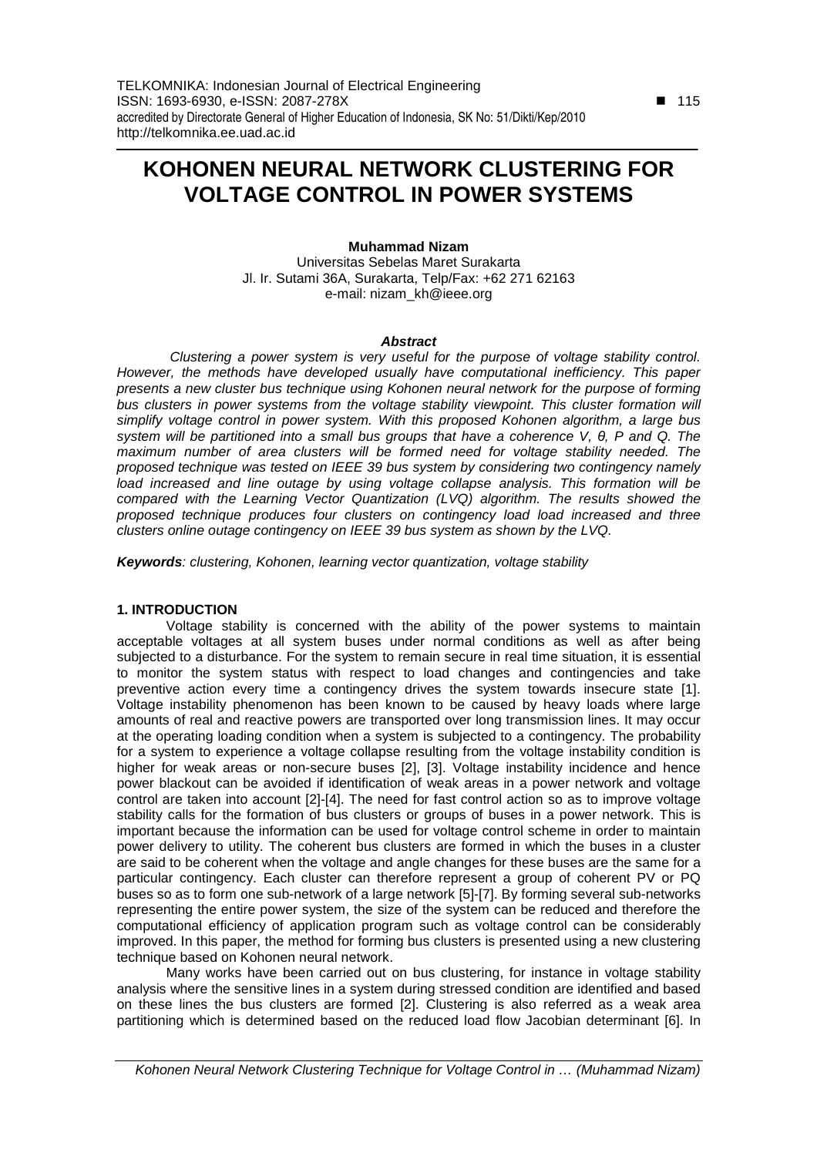# **KOHONEN NEURAL NETWORK CLUSTERING FOR VOLTAGE CONTROL IN POWER SYSTEMS**

# **Muhammad Nizam**

Universitas Sebelas Maret Surakarta Jl. Ir. Sutami 36A, Surakarta, Telp/Fax: +62 271 62163 e-mail: nizam\_kh@ieee.org

# **Abstract**

 Clustering a power system is very useful for the purpose of voltage stability control. However, the methods have developed usually have computational inefficiency. This paper presents a new cluster bus technique using Kohonen neural network for the purpose of forming bus clusters in power systems from the voltage stability viewpoint. This cluster formation will simplify voltage control in power system. With this proposed Kohonen algorithm, a large bus system will be partitioned into a small bus groups that have a coherence V, θ, P and Q. The maximum number of area clusters will be formed need for voltage stability needed. The proposed technique was tested on IEEE 39 bus system by considering two contingency namely load increased and line outage by using voltage collapse analysis. This formation will be compared with the Learning Vector Quantization (LVQ) algorithm. The results showed the proposed technique produces four clusters on contingency load load increased and three clusters online outage contingency on IEEE 39 bus system as shown by the LVQ.

**Keywords**: clustering, Kohonen, learning vector quantization, voltage stability

## **1. INTRODUCTION**

Voltage stability is concerned with the ability of the power systems to maintain acceptable voltages at all system buses under normal conditions as well as after being subjected to a disturbance. For the system to remain secure in real time situation, it is essential to monitor the system status with respect to load changes and contingencies and take preventive action every time a contingency drives the system towards insecure state [1]. Voltage instability phenomenon has been known to be caused by heavy loads where large amounts of real and reactive powers are transported over long transmission lines. It may occur at the operating loading condition when a system is subjected to a contingency. The probability for a system to experience a voltage collapse resulting from the voltage instability condition is higher for weak areas or non-secure buses [2], [3]. Voltage instability incidence and hence power blackout can be avoided if identification of weak areas in a power network and voltage control are taken into account [2]-[4]. The need for fast control action so as to improve voltage stability calls for the formation of bus clusters or groups of buses in a power network. This is important because the information can be used for voltage control scheme in order to maintain power delivery to utility. The coherent bus clusters are formed in which the buses in a cluster are said to be coherent when the voltage and angle changes for these buses are the same for a particular contingency. Each cluster can therefore represent a group of coherent PV or PQ buses so as to form one sub-network of a large network [5]-[7]. By forming several sub-networks representing the entire power system, the size of the system can be reduced and therefore the computational efficiency of application program such as voltage control can be considerably improved. In this paper, the method for forming bus clusters is presented using a new clustering technique based on Kohonen neural network.

Many works have been carried out on bus clustering, for instance in voltage stability analysis where the sensitive lines in a system during stressed condition are identified and based on these lines the bus clusters are formed [2]. Clustering is also referred as a weak area partitioning which is determined based on the reduced load flow Jacobian determinant [6]. In

 $\overline{a}$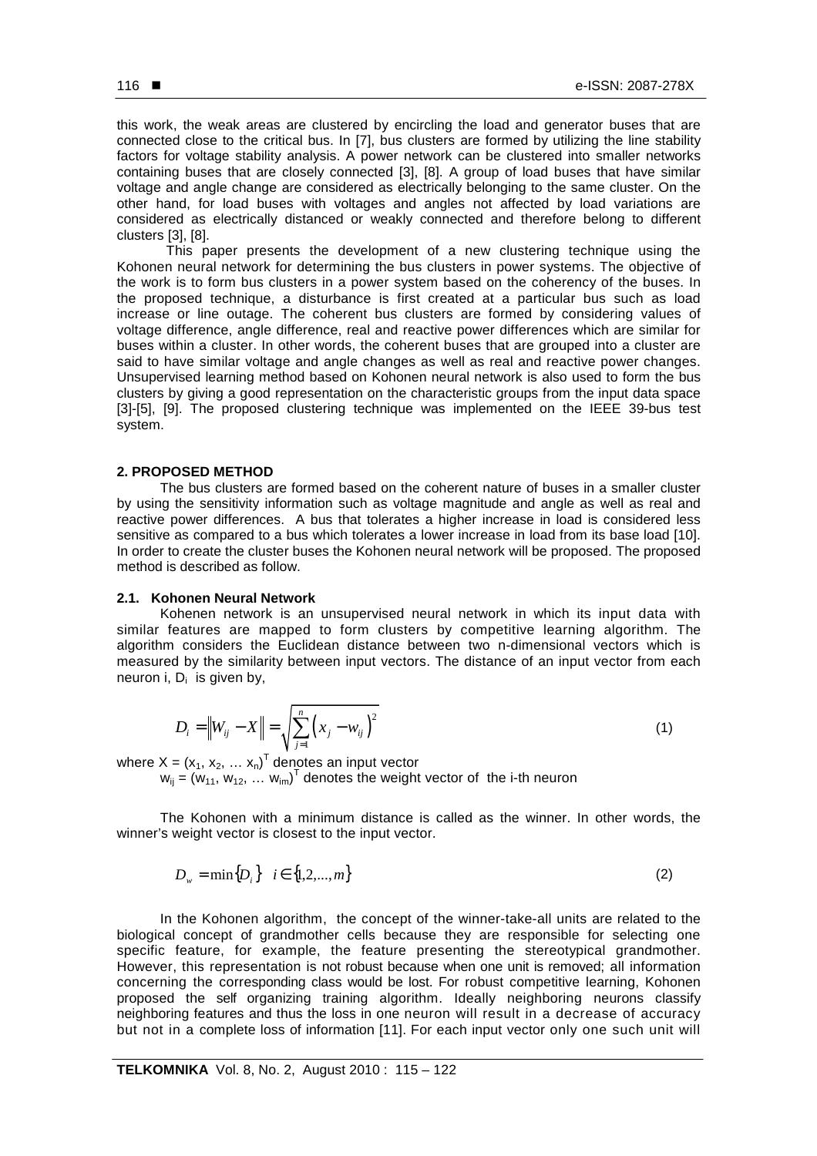this work, the weak areas are clustered by encircling the load and generator buses that are connected close to the critical bus. In [7], bus clusters are formed by utilizing the line stability factors for voltage stability analysis. A power network can be clustered into smaller networks containing buses that are closely connected [3], [8]. A group of load buses that have similar voltage and angle change are considered as electrically belonging to the same cluster. On the other hand, for load buses with voltages and angles not affected by load variations are considered as electrically distanced or weakly connected and therefore belong to different clusters [3], [8].

This paper presents the development of a new clustering technique using the Kohonen neural network for determining the bus clusters in power systems. The objective of the work is to form bus clusters in a power system based on the coherency of the buses. In the proposed technique, a disturbance is first created at a particular bus such as load increase or line outage. The coherent bus clusters are formed by considering values of voltage difference, angle difference, real and reactive power differences which are similar for buses within a cluster. In other words, the coherent buses that are grouped into a cluster are said to have similar voltage and angle changes as well as real and reactive power changes. Unsupervised learning method based on Kohonen neural network is also used to form the bus clusters by giving a good representation on the characteristic groups from the input data space [3]-[5], [9]. The proposed clustering technique was implemented on the IEEE 39-bus test system.

### **2. PROPOSED METHOD**

The bus clusters are formed based on the coherent nature of buses in a smaller cluster by using the sensitivity information such as voltage magnitude and angle as well as real and reactive power differences. A bus that tolerates a higher increase in load is considered less sensitive as compared to a bus which tolerates a lower increase in load from its base load [10]. In order to create the cluster buses the Kohonen neural network will be proposed. The proposed method is described as follow.

## **2.1. Kohonen Neural Network**

Kohenen network is an unsupervised neural network in which its input data with similar features are mapped to form clusters by competitive learning algorithm. The algorithm considers the Euclidean distance between two n-dimensional vectors which is measured by the similarity between input vectors. The distance of an input vector from each neuron i,  $D_i$  is given by,

$$
D_i = \|W_{ij} - X\| = \sqrt{\sum_{j=1}^{n} (x_j - w_{ij})^2}
$$
 (1)

where  $X = (x_1, x_2, ..., x_n)^T$  denotes an input vector

 $w_{ij} = (w_{11}, w_{12}, ..., w_{im})^T$  denotes the weight vector of the i-th neuron

The Kohonen with a minimum distance is called as the winner. In other words, the winner's weight vector is closest to the input vector.

$$
D_w = \min\{D_i\} \quad i \in \{1, 2, ..., m\}
$$
 (2)

In the Kohonen algorithm, the concept of the winner-take-all units are related to the biological concept of grandmother cells because they are responsible for selecting one specific feature, for example, the feature presenting the stereotypical grandmother. However, this representation is not robust because when one unit is removed; all information concerning the corresponding class would be lost. For robust competitive learning, Kohonen proposed the self organizing training algorithm. Ideally neighboring neurons classify neighboring features and thus the loss in one neuron will result in a decrease of accuracy but not in a complete loss of information [11]. For each input vector only one such unit will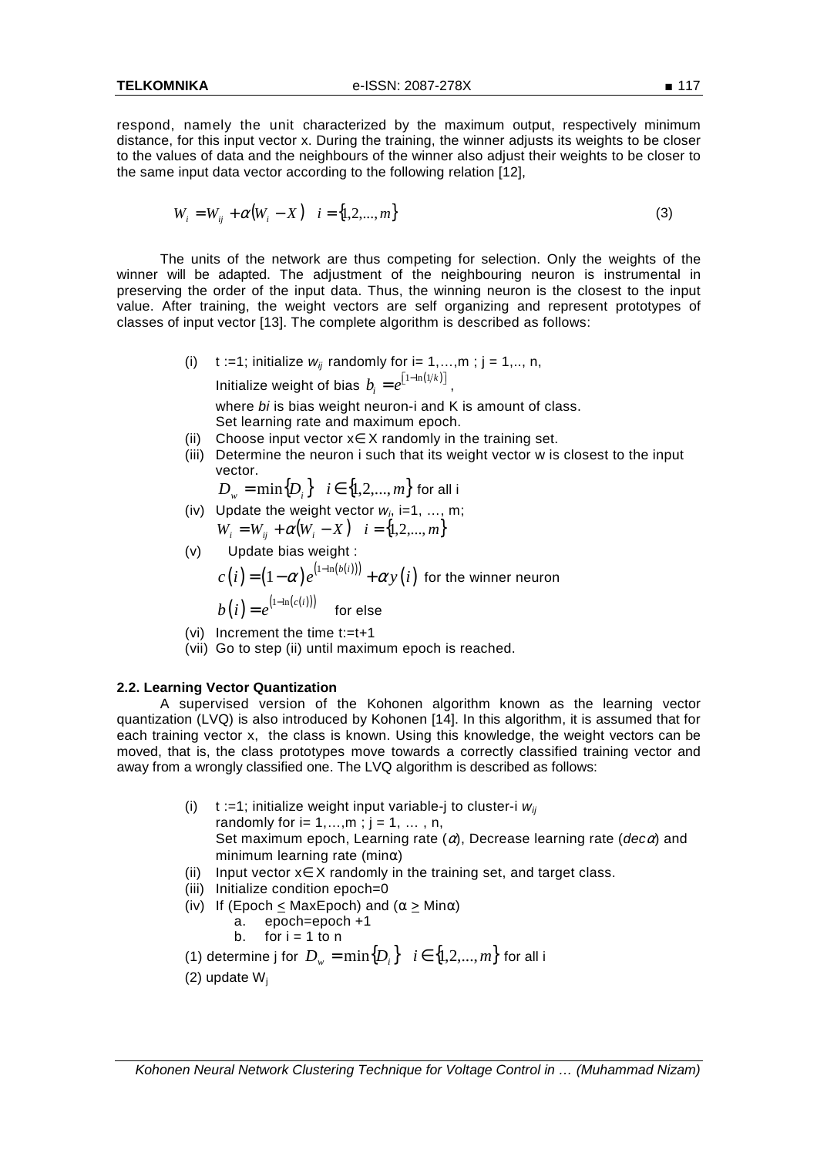respond, namely the unit characterized by the maximum output, respectively minimum distance, for this input vector x. During the training, the winner adjusts its weights to be closer to the values of data and the neighbours of the winner also adjust their weights to be closer to the same input data vector according to the following relation [12],

$$
W_i = W_{ij} + \alpha (W_i - X) \quad i = \{1, 2, ..., m\}
$$
 (3)

The units of the network are thus competing for selection. Only the weights of the winner will be adapted. The adjustment of the neighbouring neuron is instrumental in preserving the order of the input data. Thus, the winning neuron is the closest to the input value. After training, the weight vectors are self organizing and represent prototypes of classes of input vector [13]. The complete algorithm is described as follows:

- (i) t :=1; initialize  $w_{ij}$  randomly for i= 1,...,m; j = 1,.., n, Initialize weight of bias  $b_i = e^{\left[1-\ln \left(1/k \right)\right]}$  , where bi is bias weight neuron-i and K is amount of class. Set learning rate and maximum epoch.
- (ii) Choose input vector x∈ X randomly in the training set.
- (iii) Determine the neuron i such that its weight vector w is closest to the input vector.

 $D_w = \min\{D_i\}$  *i* ∈ {1,2,...,*m*} for all i

(iv) Update the weight vector  $w_i$ , i=1, ..., m;  $W_i = W_{ii} + \alpha (W_i - X)$   $i = \{1, 2, ..., m\}$ 

(v) Update bias weight :  
\n
$$
c(i) = (1 - \alpha) e^{(1 - \ln(b(i)))} + \alpha y(i)
$$
 for the winner neuron  
\n
$$
b(i) = e^{(1 - \ln(c(i)))}
$$
 for else

- (vi) Increment the time t:=t+1
- (vii) Go to step (ii) until maximum epoch is reached.

#### **2.2. Learning Vector Quantization**

A supervised version of the Kohonen algorithm known as the learning vector quantization (LVQ) is also introduced by Kohonen [14]. In this algorithm, it is assumed that for each training vector x, the class is known. Using this knowledge, the weight vectors can be moved, that is, the class prototypes move towards a correctly classified training vector and away from a wrongly classified one. The LVQ algorithm is described as follows:

- (i) t :=1; initialize weight input variable-j to cluster-i  $w_{ii}$ randomly for  $i = 1, ..., m$ ;  $j = 1, ..., n$ , Set maximum epoch, Learning rate  $(\alpha)$ , Decrease learning rate (dec $\alpha$ ) and minimum learning rate (minα) (ii) Input vector x∈ X randomly in the training set, and target class.
- (iii) Initialize condition epoch=0
- (iv) If (Epoch  $\leq$  MaxEpoch) and ( $\alpha \geq$  Min $\alpha$ )

$$
a. \quad epoch = epoch + 1
$$

b. for 
$$
i = 1
$$
 to n

(1) determine j for  $D_w = \min\{D_i\}$   $i \in \{1, 2, ..., m\}$  for all i

(2) update  $W_i$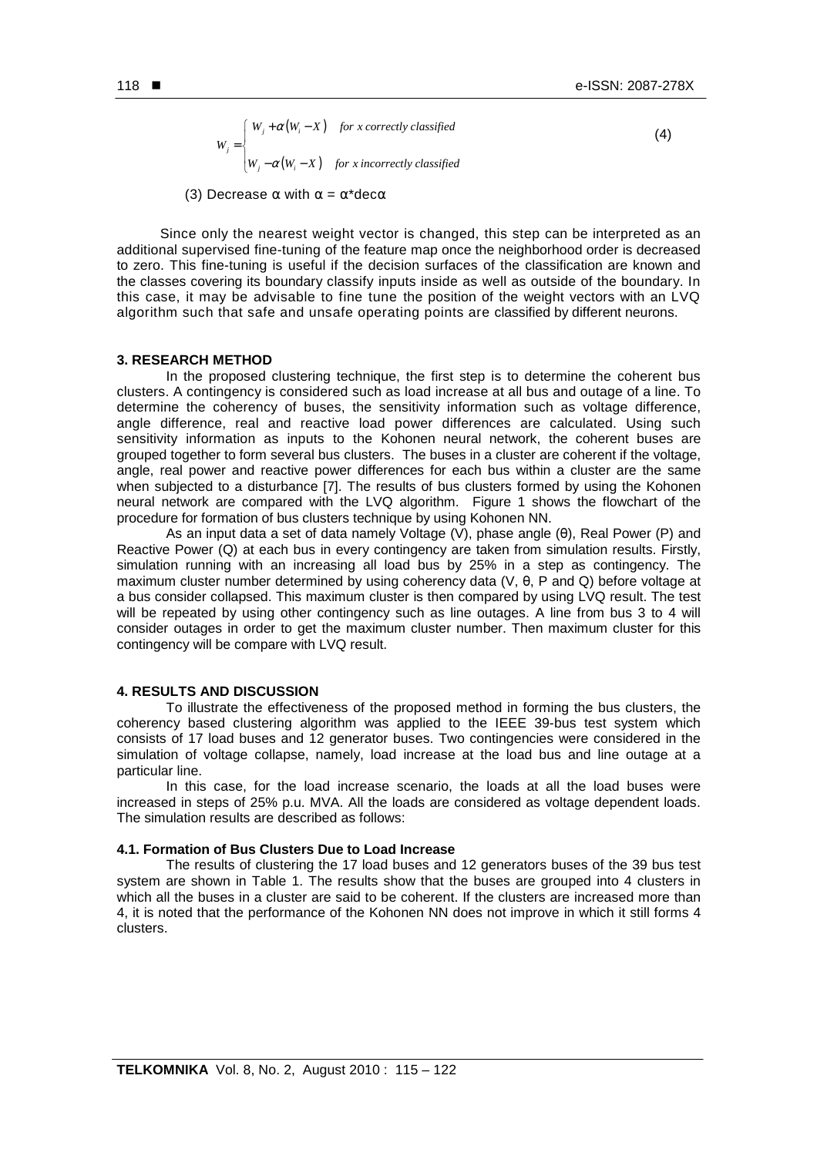$\gamma_i + \alpha(W_i - X)$  $\left[W_j - \alpha \left(W_i - X\right)\right]$  for x incorrectly classified *j*  $W_i + \alpha(W_i - X)$  for x correctly classified *W*  $=\begin{cases} W_j+\alpha(W_i-\end{cases}$ I

 $(4)$ 

(3) Decrease  $\alpha$  with  $\alpha = \alpha^*$ dec $\alpha$ 

Since only the nearest weight vector is changed, this step can be interpreted as an additional supervised fine-tuning of the feature map once the neighborhood order is decreased to zero. This fine-tuning is useful if the decision surfaces of the classification are known and the classes covering its boundary classify inputs inside as well as outside of the boundary. In this case, it may be advisable to fine tune the position of the weight vectors with an LVQ algorithm such that safe and unsafe operating points are classified by different neurons.

#### **3. RESEARCH METHOD**

In the proposed clustering technique, the first step is to determine the coherent bus clusters. A contingency is considered such as load increase at all bus and outage of a line. To determine the coherency of buses, the sensitivity information such as voltage difference, angle difference, real and reactive load power differences are calculated. Using such sensitivity information as inputs to the Kohonen neural network, the coherent buses are grouped together to form several bus clusters. The buses in a cluster are coherent if the voltage, angle, real power and reactive power differences for each bus within a cluster are the same when subjected to a disturbance [7]. The results of bus clusters formed by using the Kohonen neural network are compared with the LVQ algorithm. Figure 1 shows the flowchart of the procedure for formation of bus clusters technique by using Kohonen NN.

As an input data a set of data namely Voltage (V), phase angle (θ), Real Power (P) and Reactive Power (Q) at each bus in every contingency are taken from simulation results. Firstly, simulation running with an increasing all load bus by 25% in a step as contingency. The maximum cluster number determined by using coherency data (V, θ, P and Q) before voltage at a bus consider collapsed. This maximum cluster is then compared by using LVQ result. The test will be repeated by using other contingency such as line outages. A line from bus 3 to 4 will consider outages in order to get the maximum cluster number. Then maximum cluster for this contingency will be compare with LVQ result.

# **4. RESULTS AND DISCUSSION**

To illustrate the effectiveness of the proposed method in forming the bus clusters, the coherency based clustering algorithm was applied to the IEEE 39-bus test system which consists of 17 load buses and 12 generator buses. Two contingencies were considered in the simulation of voltage collapse, namely, load increase at the load bus and line outage at a particular line.

In this case, for the load increase scenario, the loads at all the load buses were increased in steps of 25% p.u. MVA. All the loads are considered as voltage dependent loads. The simulation results are described as follows:

# **4.1. Formation of Bus Clusters Due to Load Increase**

The results of clustering the 17 load buses and 12 generators buses of the 39 bus test system are shown in Table 1. The results show that the buses are grouped into 4 clusters in which all the buses in a cluster are said to be coherent. If the clusters are increased more than 4, it is noted that the performance of the Kohonen NN does not improve in which it still forms 4 clusters.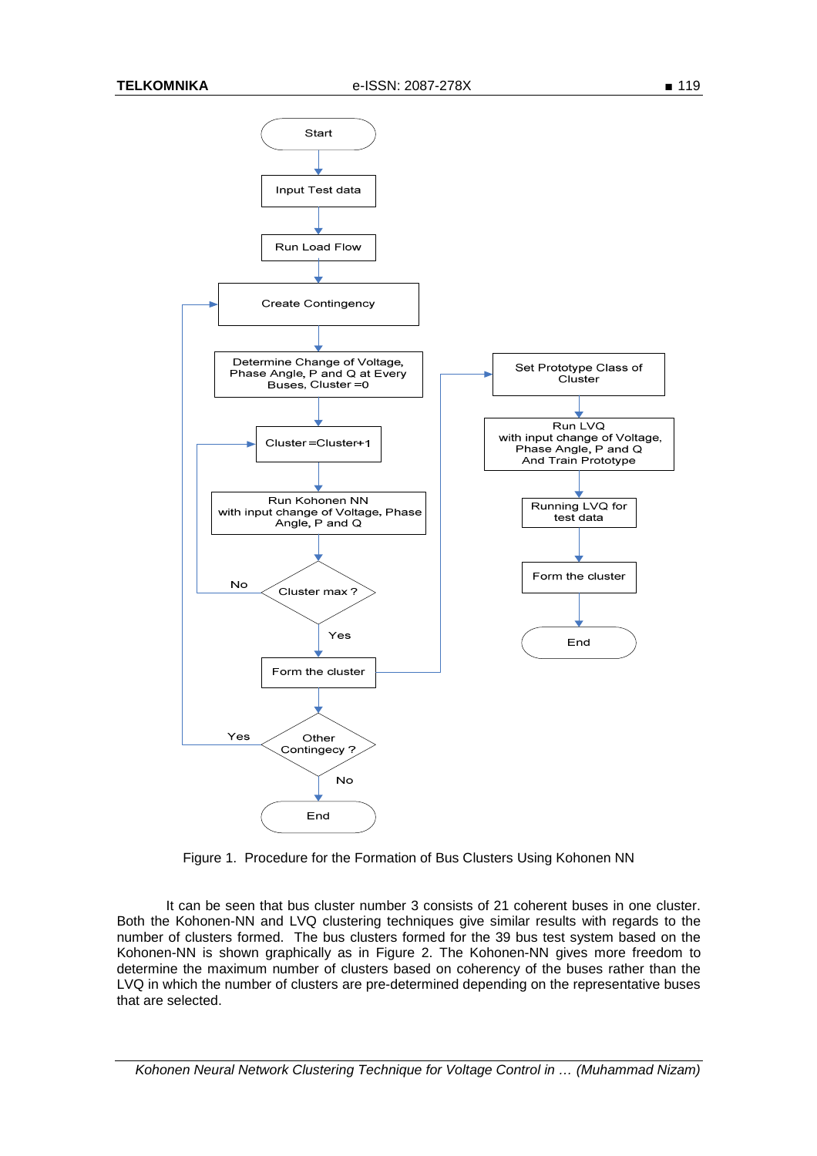

Figure 1. Procedure for the Formation of Bus Clusters Using Kohonen NN

It can be seen that bus cluster number 3 consists of 21 coherent buses in one cluster. Both the Kohonen-NN and LVQ clustering techniques give similar results with regards to the number of clusters formed. The bus clusters formed for the 39 bus test system based on the Kohonen-NN is shown graphically as in Figure 2. The Kohonen-NN gives more freedom to determine the maximum number of clusters based on coherency of the buses rather than the LVQ in which the number of clusters are pre-determined depending on the representative buses that are selected.

Kohonen Neural Network Clustering Technique for Voltage Control in … (Muhammad Nizam)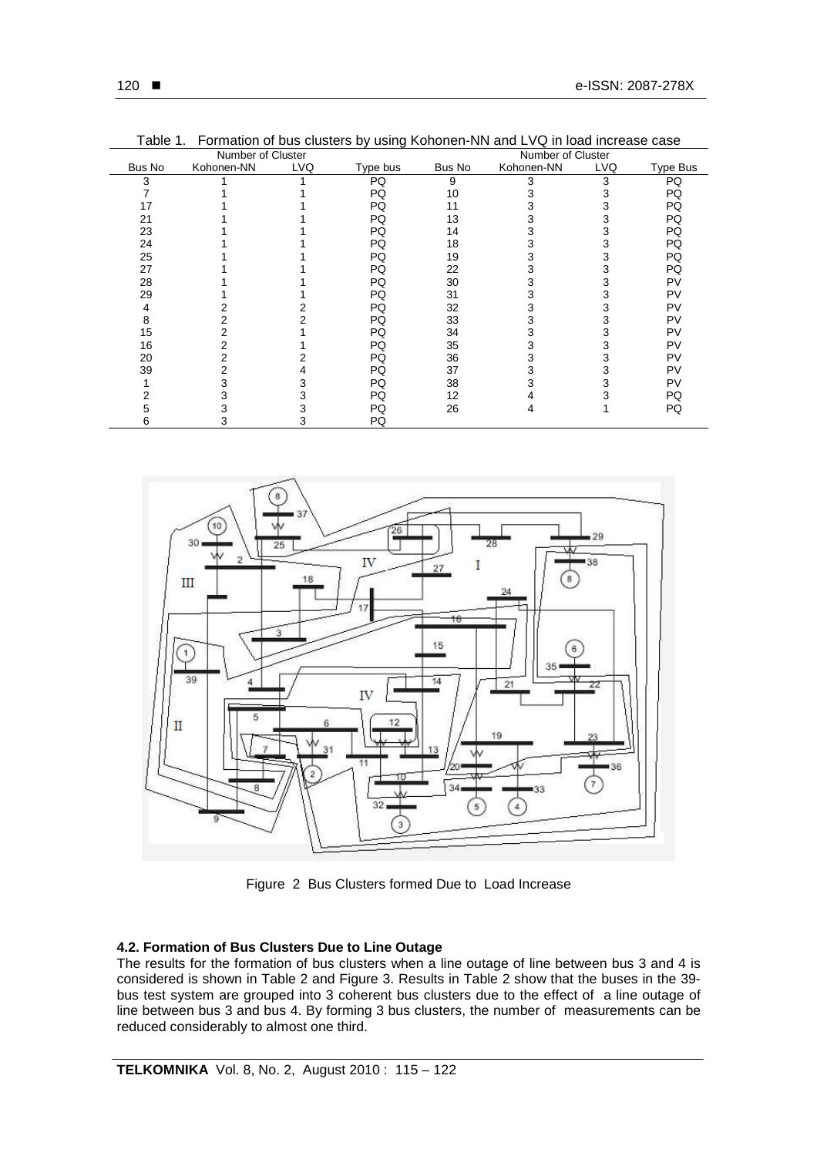| Number of Cluster |            |     |          |        | Number of Cluster |            |          |  |
|-------------------|------------|-----|----------|--------|-------------------|------------|----------|--|
| Bus No            | Kohonen-NN | LVQ | Type bus | Bus No | Kohonen-NN        | <b>LVQ</b> | Type Bus |  |
| 3                 |            |     | PQ       | 9      | 3                 | 3          | PQ       |  |
|                   |            |     | PQ       | 10     |                   | 3          | PQ       |  |
|                   |            |     | PQ       | 11     |                   | 3          | PQ       |  |
| 21                |            |     | PQ       | 13     |                   | 3          | PQ       |  |
| 23                |            |     | PQ       | 14     |                   | 3          | PQ       |  |
| 24                |            |     | PQ       | 18     | 3                 | 3          | PQ       |  |
| 25                |            |     | PQ       | 19     | 3                 | 3          | PQ       |  |
| 27                |            |     | PQ       | 22     | 3                 | 3          | PQ       |  |
| 28                |            |     | PQ       | 30     | 3                 | 3          | PV       |  |
| 29                |            |     | PQ       | 31     |                   | 3          | PV       |  |
| 4                 |            |     | PQ       | 32     | 3                 | 3          | PV       |  |
| 8                 |            |     | PQ       | 33     | 3                 | 3          | PV       |  |
| 15                |            |     | PQ       | 34     |                   |            | PV       |  |
| 16                |            |     | PQ       | 35     | 3                 | 3          | PV       |  |
| 20                |            |     | PQ       | 36     | 3                 | 3          | PV       |  |
| 39                |            |     | PQ       | 37     | 3                 | 3          | PV       |  |
|                   |            |     | PQ       | 38     |                   | 3          | PV       |  |
|                   |            |     | PQ       | 12     |                   |            | PQ       |  |
|                   |            |     | PQ       | 26     |                   |            | PQ       |  |
|                   | 3          |     | PQ       |        |                   |            |          |  |

Table 1. Formation of bus clusters by using Kohonen-NN and LVQ in load increase case



Figure 2 Bus Clusters formed Due to Load Increase

## **4.2. Formation of Bus Clusters Due to Line Outage**

The results for the formation of bus clusters when a line outage of line between bus 3 and 4 is considered is shown in Table 2 and Figure 3. Results in Table 2 show that the buses in the 39 bus test system are grouped into 3 coherent bus clusters due to the effect of a line outage of line between bus 3 and bus 4. By forming 3 bus clusters, the number of measurements can be reduced considerably to almost one third.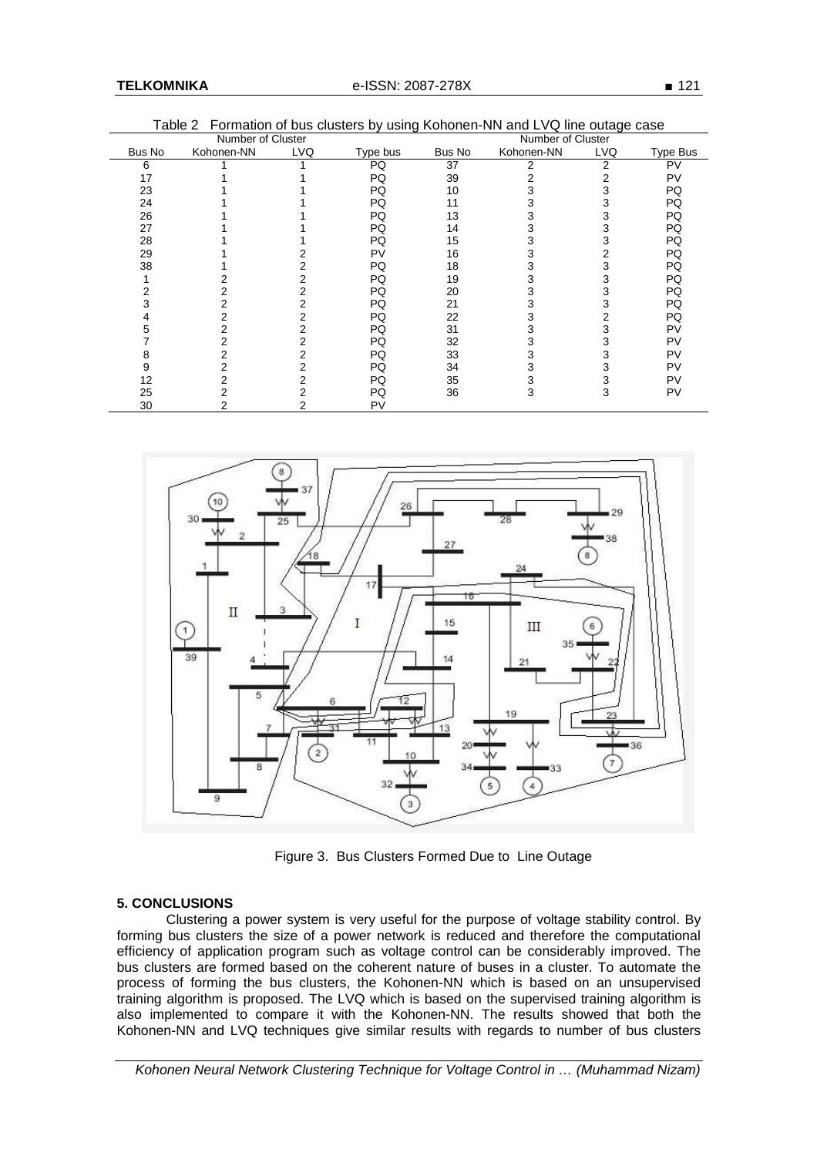|        | Number of Cluster |     | Number of Cluster |        |            |            |          |
|--------|-------------------|-----|-------------------|--------|------------|------------|----------|
| Bus No | Kohonen-NN        | LVQ | Type bus          | Bus No | Kohonen-NN | <b>LVQ</b> | Type Bus |
| 6      |                   |     | PQ                | 37     | 2          | 2          | PV       |
| 17     |                   |     | PQ                | 39     | 2          | 2          | PV       |
| 23     |                   |     | PQ                | 10     | 3          | 3          | PQ       |
| 24     |                   |     | PQ                | 11     | 3          | 3          | PQ       |
| 26     |                   |     | PQ                | 13     | 3          | 3          | PQ       |
| 27     |                   |     | PQ                | 14     | 3          | 3          | PQ       |
| 28     |                   |     | PQ                | 15     | 3          | 3          | PQ       |
| 29     |                   |     | PV                | 16     | 3          | 2          | PQ       |
| 38     |                   |     | PQ                | 18     | 3          | 3          | PQ       |
|        |                   | 2   | PQ                | 19     | 3          | 3          | PQ       |
|        | 2                 | 2   | PQ                | 20     | 3          | 3          | PQ       |
|        |                   | 2   | PQ                | 21     | 3          | 3          | PQ       |
|        | 2                 | 2   | PQ                | 22     | 3          | 2          | PQ       |
| 5      | 2                 | 2   | PQ                | 31     | 3          | 3          | PV       |
|        |                   | 2   | PQ                | 32     | 3          | 3          | PV       |
| 8      |                   | 2   | PQ                | 33     | 3          |            | PV       |
| 9      | 2                 | 2   | PQ                | 34     | 3          | 3          | PV       |
| 12     | 2                 | 2   | PQ                | 35     | 3          | 3          | PV       |
| 25     |                   |     | PQ                | 36     | 3          | 3          | PV       |
| 30     | 2                 | 2   | PV                |        |            |            |          |

Table 2 Formation of bus clusters by using Kohonen-NN and LVQ line outage case



Figure 3. Bus Clusters Formed Due to Line Outage

# **5. CONCLUSIONS**

Clustering a power system is very useful for the purpose of voltage stability control. By forming bus clusters the size of a power network is reduced and therefore the computational efficiency of application program such as voltage control can be considerably improved. The bus clusters are formed based on the coherent nature of buses in a cluster. To automate the process of forming the bus clusters, the Kohonen-NN which is based on an unsupervised training algorithm is proposed. The LVQ which is based on the supervised training algorithm is also implemented to compare it with the Kohonen-NN. The results showed that both the Kohonen-NN and LVQ techniques give similar results with regards to number of bus clusters

Kohonen Neural Network Clustering Technique for Voltage Control in … (Muhammad Nizam)